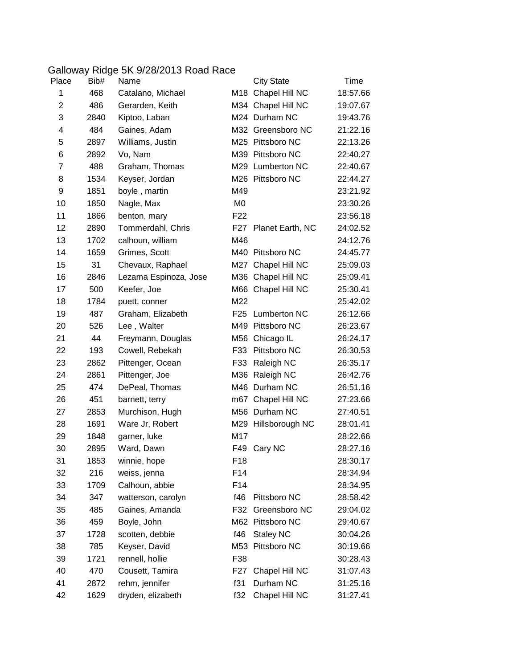## Galloway Ridge 5K 9/28/2013 Road Race

| Place          | Bib# | Name                  |                 | <b>City State</b>    | Time     |
|----------------|------|-----------------------|-----------------|----------------------|----------|
| 1              | 468  | Catalano, Michael     |                 | M18 Chapel Hill NC   | 18:57.66 |
| $\overline{2}$ | 486  | Gerarden, Keith       |                 | M34 Chapel Hill NC   | 19:07.67 |
| 3              | 2840 | Kiptoo, Laban         |                 | M24 Durham NC        | 19:43.76 |
| 4              | 484  | Gaines, Adam          |                 | M32 Greensboro NC    | 21:22.16 |
| 5              | 2897 | Williams, Justin      |                 | M25 Pittsboro NC     | 22:13.26 |
| 6              | 2892 | Vo, Nam               |                 | M39 Pittsboro NC     | 22:40.27 |
| $\overline{7}$ | 488  | Graham, Thomas        |                 | M29 Lumberton NC     | 22:40.67 |
| 8              | 1534 | Keyser, Jordan        |                 | M26 Pittsboro NC     | 22:44.27 |
| 9              | 1851 | boyle, martin         | M49             |                      | 23:21.92 |
| 10             | 1850 | Nagle, Max            | M0              |                      | 23:30.26 |
| 11             | 1866 | benton, mary          | F <sub>22</sub> |                      | 23:56.18 |
| 12             | 2890 | Tommerdahl, Chris     |                 | F27 Planet Earth, NC | 24:02.52 |
| 13             | 1702 | calhoun, william      | M46             |                      | 24:12.76 |
| 14             | 1659 | Grimes, Scott         |                 | M40 Pittsboro NC     | 24:45.77 |
| 15             | 31   | Chevaux, Raphael      |                 | M27 Chapel Hill NC   | 25:09.03 |
| 16             | 2846 | Lezama Espinoza, Jose |                 | M36 Chapel Hill NC   | 25:09.41 |
| 17             | 500  | Keefer, Joe           |                 | M66 Chapel Hill NC   | 25:30.41 |
| 18             | 1784 | puett, conner         | M22             |                      | 25:42.02 |
| 19             | 487  | Graham, Elizabeth     | F25             | <b>Lumberton NC</b>  | 26:12.66 |
| 20             | 526  | Lee, Walter           |                 | M49 Pittsboro NC     | 26:23.67 |
| 21             | 44   | Freymann, Douglas     |                 | M56 Chicago IL       | 26:24.17 |
| 22             | 193  | Cowell, Rebekah       | F33             | Pittsboro NC         | 26:30.53 |
| 23             | 2862 | Pittenger, Ocean      | F33             | Raleigh NC           | 26:35.17 |
| 24             | 2861 | Pittenger, Joe        |                 | M36 Raleigh NC       | 26:42.76 |
| 25             | 474  | DePeal, Thomas        |                 | M46 Durham NC        | 26:51.16 |
| 26             | 451  | barnett, terry        | m67             | Chapel Hill NC       | 27:23.66 |
| 27             | 2853 | Murchison, Hugh       |                 | M56 Durham NC        | 27:40.51 |
| 28             | 1691 | Ware Jr, Robert       |                 | M29 Hillsborough NC  | 28:01.41 |
| 29             | 1848 | garner, luke          | M17             |                      | 28:22.66 |
| 30             | 2895 | Ward, Dawn            | F49             | Cary NC              | 28:27.16 |
| 31             | 1853 | winnie, hope          | F <sub>18</sub> |                      | 28:30.17 |
| 32             | 216  | weiss, jenna          | F14             |                      | 28:34.94 |
| 33             | 1709 | Calhoun, abbie        | F14             |                      | 28:34.95 |
| 34             | 347  | watterson, carolyn    | f46             | Pittsboro NC         | 28:58.42 |
| 35             | 485  | Gaines, Amanda        | F32             | Greensboro NC        | 29:04.02 |
| 36             | 459  | Boyle, John           |                 | M62 Pittsboro NC     | 29:40.67 |
| 37             | 1728 | scotten, debbie       | f46             | <b>Staley NC</b>     | 30:04.26 |
| 38             | 785  | Keyser, David         | M53             | Pittsboro NC         | 30:19.66 |
| 39             | 1721 | rennell, hollie       | F38             |                      | 30:28.43 |
| 40             | 470  | Cousett, Tamira       | F <sub>27</sub> | Chapel Hill NC       | 31:07.43 |
| 41             | 2872 | rehm, jennifer        | f31             | Durham NC            | 31:25.16 |
| 42             | 1629 | dryden, elizabeth     | f32             | Chapel Hill NC       | 31:27.41 |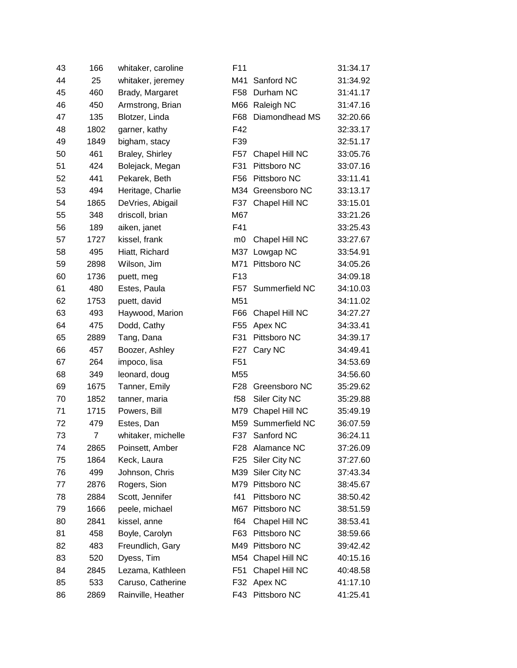| 43 | 166            | whitaker, caroline | F11             |                | 31:34.17 |
|----|----------------|--------------------|-----------------|----------------|----------|
| 44 | 25             | whitaker, jeremey  | M41             | Sanford NC     | 31:34.92 |
| 45 | 460            | Brady, Margaret    | F <sub>58</sub> | Durham NC      | 31:41.17 |
| 46 | 450            | Armstrong, Brian   | M66             | Raleigh NC     | 31:47.16 |
| 47 | 135            | Blotzer, Linda     | F68             | Diamondhead MS | 32:20.66 |
| 48 | 1802           | garner, kathy      | F42             |                | 32:33.17 |
| 49 | 1849           | bigham, stacy      | F39             |                | 32:51.17 |
| 50 | 461            | Braley, Shirley    | F <sub>57</sub> | Chapel Hill NC | 33:05.76 |
| 51 | 424            | Bolejack, Megan    | F31             | Pittsboro NC   | 33:07.16 |
| 52 | 441            | Pekarek, Beth      | F56             | Pittsboro NC   | 33:11.41 |
| 53 | 494            | Heritage, Charlie  | M34             | Greensboro NC  | 33:13.17 |
| 54 | 1865           | DeVries, Abigail   | F37             | Chapel Hill NC | 33:15.01 |
| 55 | 348            | driscoll, brian    | M67             |                | 33:21.26 |
| 56 | 189            | aiken, janet       | F41             |                | 33:25.43 |
| 57 | 1727           | kissel, frank      | m <sub>0</sub>  | Chapel Hill NC | 33:27.67 |
| 58 | 495            | Hiatt, Richard     | M37             | Lowgap NC      | 33:54.91 |
| 59 | 2898           | Wilson, Jim        | M71             | Pittsboro NC   | 34:05.26 |
| 60 | 1736           | puett, meg         | F <sub>13</sub> |                | 34:09.18 |
| 61 | 480            | Estes, Paula       | F57             | Summerfield NC | 34:10.03 |
| 62 | 1753           | puett, david       | M51             |                | 34:11.02 |
| 63 | 493            | Haywood, Marion    | F66             | Chapel Hill NC | 34:27.27 |
| 64 | 475            | Dodd, Cathy        | F <sub>55</sub> | Apex NC        | 34:33.41 |
| 65 | 2889           | Tang, Dana         | F31             | Pittsboro NC   | 34:39.17 |
| 66 | 457            | Boozer, Ashley     | F <sub>27</sub> | Cary NC        | 34:49.41 |
| 67 | 264            | impoco, lisa       | F <sub>51</sub> |                | 34:53.69 |
| 68 | 349            | leonard, doug      | M55             |                | 34:56.60 |
| 69 | 1675           | Tanner, Emily      | F <sub>28</sub> | Greensboro NC  | 35:29.62 |
| 70 | 1852           | tanner, maria      | f58             | Siler City NC  | 35:29.88 |
| 71 | 1715           | Powers, Bill       | M79             | Chapel Hill NC | 35:49.19 |
| 72 | 479            | Estes, Dan         | M59             | Summerfield NC | 36:07.59 |
| 73 | $\overline{7}$ | whitaker, michelle | F37             | Sanford NC     | 36:24.11 |
| 74 | 2865           | Poinsett, Amber    | F28             | Alamance NC    | 37:26.09 |
| 75 | 1864           | Keck, Laura        | F <sub>25</sub> | Siler City NC  | 37:27.60 |
| 76 | 499            | Johnson, Chris     | M39             | Siler City NC  | 37:43.34 |
| 77 | 2876           | Rogers, Sion       | M79             | Pittsboro NC   | 38:45.67 |
| 78 | 2884           | Scott, Jennifer    | f41             | Pittsboro NC   | 38:50.42 |
| 79 | 1666           | peele, michael     | M67             | Pittsboro NC   | 38:51.59 |
| 80 | 2841           | kissel, anne       | f64             | Chapel Hill NC | 38:53.41 |
| 81 | 458            | Boyle, Carolyn     | F63             | Pittsboro NC   | 38:59.66 |
| 82 | 483            | Freundlich, Gary   | M49             | Pittsboro NC   | 39:42.42 |
| 83 | 520            | Dyess, Tim         | M54             | Chapel Hill NC | 40:15.16 |
| 84 | 2845           | Lezama, Kathleen   | F <sub>51</sub> | Chapel Hill NC | 40:48.58 |
| 85 | 533            | Caruso, Catherine  | F32             | Apex NC        | 41:17.10 |
| 86 | 2869           | Rainville, Heather | F43             | Pittsboro NC   | 41:25.41 |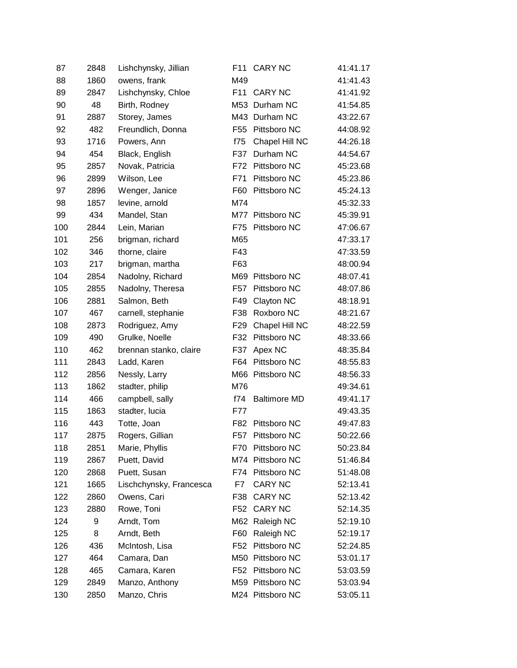| 87  | 2848 | Lishchynsky, Jillian    | F11             | <b>CARY NC</b>      | 41:41.17 |
|-----|------|-------------------------|-----------------|---------------------|----------|
| 88  | 1860 | owens, frank            | M49             |                     | 41:41.43 |
| 89  | 2847 | Lishchynsky, Chloe      | F11             | <b>CARY NC</b>      | 41:41.92 |
| 90  | 48   | Birth, Rodney           |                 | M53 Durham NC       | 41:54.85 |
| 91  | 2887 | Storey, James           |                 | M43 Durham NC       | 43:22.67 |
| 92  | 482  | Freundlich, Donna       |                 | F55 Pittsboro NC    | 44:08.92 |
| 93  | 1716 | Powers, Ann             | f75             | Chapel Hill NC      | 44:26.18 |
| 94  | 454  | Black, English          | F37             | Durham NC           | 44:54.67 |
| 95  | 2857 | Novak, Patricia         | F72             | Pittsboro NC        | 45:23.68 |
| 96  | 2899 | Wilson, Lee             | F71             | Pittsboro NC        | 45:23.86 |
| 97  | 2896 | Wenger, Janice          | F60             | Pittsboro NC        | 45:24.13 |
| 98  | 1857 | levine, arnold          | M74             |                     | 45:32.33 |
| 99  | 434  | Mandel, Stan            |                 | M77 Pittsboro NC    | 45:39.91 |
| 100 | 2844 | Lein, Marian            | F75             | Pittsboro NC        | 47:06.67 |
| 101 | 256  | brigman, richard        | M65             |                     | 47:33.17 |
| 102 | 346  | thorne, claire          | F43             |                     | 47:33.59 |
| 103 | 217  | brigman, martha         | F63             |                     | 48:00.94 |
| 104 | 2854 | Nadolny, Richard        | M69             | Pittsboro NC        | 48:07.41 |
| 105 | 2855 | Nadolny, Theresa        | F <sub>57</sub> | Pittsboro NC        | 48:07.86 |
| 106 | 2881 | Salmon, Beth            | F49             | Clayton NC          | 48:18.91 |
| 107 | 467  | carnell, stephanie      | F38             | Roxboro NC          | 48:21.67 |
| 108 | 2873 | Rodriguez, Amy          | F <sub>29</sub> | Chapel Hill NC      | 48:22.59 |
| 109 | 490  | Grulke, Noelle          | F32             | Pittsboro NC        | 48:33.66 |
| 110 | 462  | brennan stanko, claire  | F37             | Apex NC             | 48:35.84 |
| 111 | 2843 | Ladd, Karen             | F64             | Pittsboro NC        | 48:55.83 |
| 112 | 2856 | Nessly, Larry           | M66             | Pittsboro NC        | 48:56.33 |
| 113 | 1862 | stadter, philip         | M76             |                     | 49:34.61 |
| 114 | 466  | campbell, sally         | f74             | <b>Baltimore MD</b> | 49:41.17 |
| 115 | 1863 | stadter, lucia          | F77             |                     | 49:43.35 |
| 116 | 443  | Totte, Joan             | F82             | Pittsboro NC        | 49:47.83 |
| 117 | 2875 | Rogers, Gillian         | F57             | Pittsboro NC        | 50:22.66 |
| 118 | 2851 | Marie, Phyllis          | F70             | Pittsboro NC        | 50:23.84 |
| 119 | 2867 | Puett, David            |                 | M74 Pittsboro NC    | 51:46.84 |
| 120 | 2868 | Puett, Susan            | F74             | Pittsboro NC        | 51:48.08 |
| 121 | 1665 | Lischchynsky, Francesca | F7              | <b>CARY NC</b>      | 52:13.41 |
| 122 | 2860 | Owens, Cari             | F38             | <b>CARY NC</b>      | 52:13.42 |
| 123 | 2880 | Rowe, Toni              | F52             | <b>CARY NC</b>      | 52:14.35 |
| 124 | 9    | Arndt, Tom              |                 | M62 Raleigh NC      | 52:19.10 |
| 125 | 8    | Arndt, Beth             | F60             | Raleigh NC          | 52:19.17 |
| 126 | 436  | McIntosh, Lisa          | F <sub>52</sub> | Pittsboro NC        | 52:24.85 |
| 127 | 464  | Camara, Dan             |                 | M50 Pittsboro NC    | 53:01.17 |
| 128 | 465  | Camara, Karen           | F52             | Pittsboro NC        | 53:03.59 |
| 129 | 2849 | Manzo, Anthony          |                 | M59 Pittsboro NC    | 53:03.94 |
| 130 | 2850 | Manzo, Chris            |                 | M24 Pittsboro NC    | 53:05.11 |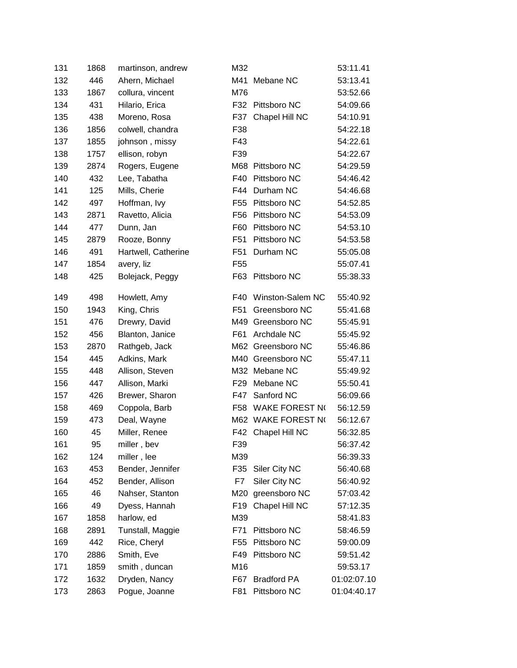| 131 | 1868 | martinson, andrew   | M32             |                       | 53:11.41    |
|-----|------|---------------------|-----------------|-----------------------|-------------|
| 132 | 446  | Ahern, Michael      | M41             | Mebane NC             | 53:13.41    |
| 133 | 1867 | collura, vincent    | M76             |                       | 53:52.66    |
| 134 | 431  | Hilario, Erica      | F32             | Pittsboro NC          | 54:09.66    |
| 135 | 438  | Moreno, Rosa        | F37             | Chapel Hill NC        | 54:10.91    |
| 136 | 1856 | colwell, chandra    | F38             |                       | 54:22.18    |
| 137 | 1855 | johnson, missy      | F43             |                       | 54:22.61    |
| 138 | 1757 | ellison, robyn      | F39             |                       | 54:22.67    |
| 139 | 2874 | Rogers, Eugene      |                 | M68 Pittsboro NC      | 54:29.59    |
| 140 | 432  | Lee, Tabatha        | F40             | Pittsboro NC          | 54:46.42    |
| 141 | 125  | Mills, Cherie       | F44             | Durham NC             | 54:46.68    |
| 142 | 497  | Hoffman, Ivy        | F <sub>55</sub> | Pittsboro NC          | 54:52.85    |
| 143 | 2871 | Ravetto, Alicia     | F <sub>56</sub> | Pittsboro NC          | 54:53.09    |
| 144 | 477  | Dunn, Jan           | F60             | Pittsboro NC          | 54:53.10    |
| 145 | 2879 | Rooze, Bonny        | F <sub>51</sub> | Pittsboro NC          | 54:53.58    |
| 146 | 491  | Hartwell, Catherine | F <sub>51</sub> | Durham NC             | 55:05.08    |
| 147 | 1854 | avery, liz          | F <sub>55</sub> |                       | 55:07.41    |
| 148 | 425  | Bolejack, Peggy     | F63             | Pittsboro NC          | 55:38.33    |
| 149 | 498  | Howlett, Amy        | F40             | Winston-Salem NC      | 55:40.92    |
| 150 | 1943 | King, Chris         | F51             | Greensboro NC         | 55:41.68    |
| 151 | 476  | Drewry, David       | M49             | Greensboro NC         | 55:45.91    |
| 152 | 456  | Blanton, Janice     | F61             | Archdale NC           | 55:45.92    |
| 153 | 2870 | Rathgeb, Jack       |                 | M62 Greensboro NC     | 55:46.86    |
| 154 | 445  | Adkins, Mark        |                 | M40 Greensboro NC     | 55:47.11    |
| 155 | 448  | Allison, Steven     |                 | M32 Mebane NC         | 55:49.92    |
| 156 | 447  | Allison, Marki      | F <sub>29</sub> | Mebane NC             | 55:50.41    |
| 157 | 426  | Brewer, Sharon      | F47             | Sanford NC            | 56:09.66    |
| 158 | 469  | Coppola, Barb       | F <sub>58</sub> | <b>WAKE FOREST NO</b> | 56:12.59    |
| 159 | 473  | Deal, Wayne         |                 | M62 WAKE FOREST NO    | 56:12.67    |
| 160 | 45   | Miller, Renee       |                 | F42 Chapel Hill NC    | 56:32.85    |
| 161 | 95   | miller, bev         | F39             |                       | 56:37.42    |
| 162 | 124  | miller, lee         | M39             |                       | 56:39.33    |
| 163 | 453  | Bender, Jennifer    | F35             | Siler City NC         | 56:40.68    |
| 164 | 452  | Bender, Allison     | F7              | Siler City NC         | 56:40.92    |
| 165 | 46   | Nahser, Stanton     | M20             | greensboro NC         | 57:03.42    |
| 166 | 49   | Dyess, Hannah       | F <sub>19</sub> | Chapel Hill NC        | 57:12.35    |
| 167 | 1858 | harlow, ed          | M39             |                       | 58:41.83    |
| 168 | 2891 | Tunstall, Maggie    | F71             | Pittsboro NC          | 58:46.59    |
| 169 | 442  | Rice, Cheryl        | F <sub>55</sub> | Pittsboro NC          | 59:00.09    |
| 170 | 2886 | Smith, Eve          | F49             | Pittsboro NC          | 59:51.42    |
| 171 | 1859 | smith, duncan       | M16             |                       | 59:53.17    |
| 172 | 1632 | Dryden, Nancy       | F67             | <b>Bradford PA</b>    | 01:02:07.10 |
| 173 | 2863 | Pogue, Joanne       | F81             | Pittsboro NC          | 01:04:40.17 |